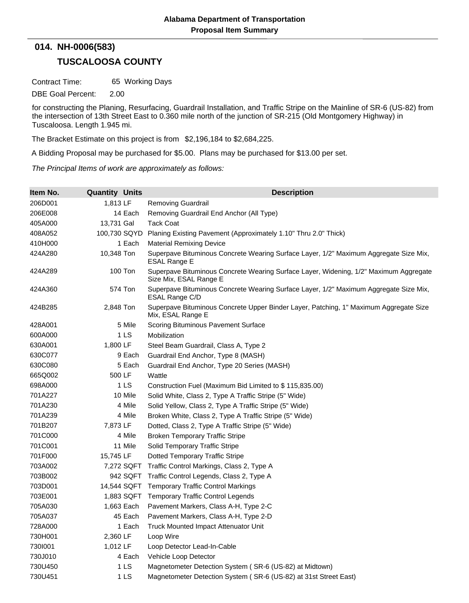## **TUSCALOOSA COUNTY 014. NH-0006(583)**

Contract Time: 65 Working Days

DBE Goal Percent: 2.00

for constructing the Planing, Resurfacing, Guardrail Installation, and Traffic Stripe on the Mainline of SR-6 (US-82) from the intersection of 13th Street East to 0.360 mile north of the junction of SR-215 (Old Montgomery Highway) in Tuscaloosa. Length 1.945 mi.

The Bracket Estimate on this project is from \$2,196,184 to \$2,684,225.

A Bidding Proposal may be purchased for \$5.00. Plans may be purchased for \$13.00 per set.

*The Principal Items of work are approximately as follows:*

| Item No. | <b>Quantity Units</b> | <b>Description</b>                                                                                              |
|----------|-----------------------|-----------------------------------------------------------------------------------------------------------------|
| 206D001  | 1,813 LF              | <b>Removing Guardrail</b>                                                                                       |
| 206E008  | 14 Each               | Removing Guardrail End Anchor (All Type)                                                                        |
| 405A000  | 13,731 Gal            | Tack Coat                                                                                                       |
| 408A052  | 100,730 SQYD          | Planing Existing Pavement (Approximately 1.10" Thru 2.0" Thick)                                                 |
| 410H000  | 1 Each                | <b>Material Remixing Device</b>                                                                                 |
| 424A280  | 10,348 Ton            | Superpave Bituminous Concrete Wearing Surface Layer, 1/2" Maximum Aggregate Size Mix,<br>ESAL Range E           |
| 424A289  | 100 Ton               | Superpave Bituminous Concrete Wearing Surface Layer, Widening, 1/2" Maximum Aggregate<br>Size Mix, ESAL Range E |
| 424A360  | 574 Ton               | Superpave Bituminous Concrete Wearing Surface Layer, 1/2" Maximum Aggregate Size Mix,<br>ESAL Range C/D         |
| 424B285  | 2,848 Ton             | Superpave Bituminous Concrete Upper Binder Layer, Patching, 1" Maximum Aggregate Size<br>Mix, ESAL Range E      |
| 428A001  | 5 Mile                | Scoring Bituminous Pavement Surface                                                                             |
| 600A000  | 1 LS                  | Mobilization                                                                                                    |
| 630A001  | 1,800 LF              | Steel Beam Guardrail, Class A, Type 2                                                                           |
| 630C077  | 9 Each                | Guardrail End Anchor, Type 8 (MASH)                                                                             |
| 630C080  | 5 Each                | Guardrail End Anchor, Type 20 Series (MASH)                                                                     |
| 665Q002  | 500 LF                | Wattle                                                                                                          |
| 698A000  | 1 LS                  | Construction Fuel (Maximum Bid Limited to \$115,835.00)                                                         |
| 701A227  | 10 Mile               | Solid White, Class 2, Type A Traffic Stripe (5" Wide)                                                           |
| 701A230  | 4 Mile                | Solid Yellow, Class 2, Type A Traffic Stripe (5" Wide)                                                          |
| 701A239  | 4 Mile                | Broken White, Class 2, Type A Traffic Stripe (5" Wide)                                                          |
| 701B207  | 7,873 LF              | Dotted, Class 2, Type A Traffic Stripe (5" Wide)                                                                |
| 701C000  | 4 Mile                | Broken Temporary Traffic Stripe                                                                                 |
| 701C001  | 11 Mile               | Solid Temporary Traffic Stripe                                                                                  |
| 701F000  | 15,745 LF             | <b>Dotted Temporary Traffic Stripe</b>                                                                          |
| 703A002  | 7,272 SQFT            | Traffic Control Markings, Class 2, Type A                                                                       |
| 703B002  | 942 SQFT              | Traffic Control Legends, Class 2, Type A                                                                        |
| 703D001  | 14,544 SQFT           | <b>Temporary Traffic Control Markings</b>                                                                       |
| 703E001  | 1,883 SQFT            | <b>Temporary Traffic Control Legends</b>                                                                        |
| 705A030  | 1,663 Each            | Pavement Markers, Class A-H, Type 2-C                                                                           |
| 705A037  | 45 Each               | Pavement Markers, Class A-H, Type 2-D                                                                           |
| 728A000  | 1 Each                | Truck Mounted Impact Attenuator Unit                                                                            |
| 730H001  | 2,360 LF              | Loop Wire                                                                                                       |
| 7301001  | 1,012 LF              | Loop Detector Lead-In-Cable                                                                                     |
| 730J010  | 4 Each                | Vehicle Loop Detector                                                                                           |
| 730U450  | 1 LS                  | Magnetometer Detection System (SR-6 (US-82) at Midtown)                                                         |
| 730U451  | 1 LS                  | Magnetometer Detection System (SR-6 (US-82) at 31st Street East)                                                |